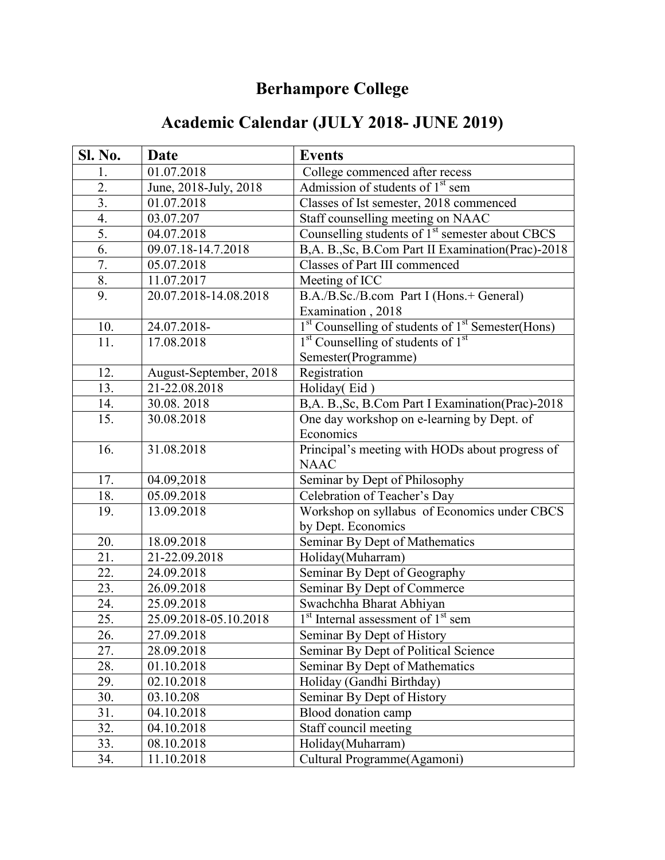## **Berhampore College**

## **Academic Calendar (JULY 2018- JUNE 2019)**

| Sl. No.           | Date                   | <b>Events</b>                                                            |
|-------------------|------------------------|--------------------------------------------------------------------------|
| 1.                | 01.07.2018             | College commenced after recess                                           |
| 2.                | June, 2018-July, 2018  | Admission of students of 1 <sup>st</sup> sem                             |
| $\overline{3}$ .  | 01.07.2018             | Classes of Ist semester, 2018 commenced                                  |
| 4.                | 03.07.207              | Staff counselling meeting on NAAC                                        |
| 5.                | 04.07.2018             | Counselling students of 1 <sup>st</sup> semester about CBCS              |
| 6.                | 09.07.18-14.7.2018     | B,A. B., Sc, B.Com Part II Examination(Prac)-2018                        |
| 7.                | 05.07.2018             | Classes of Part III commenced                                            |
| 8.                | 11.07.2017             | Meeting of ICC                                                           |
| 9.                | 20.07.2018-14.08.2018  | B.A./B.Sc./B.com Part I (Hons.+ General)                                 |
|                   |                        | Examination, 2018                                                        |
| 10.               | 24.07.2018-            | <sup>1st</sup> Counselling of students of 1 <sup>st</sup> Semester(Hons) |
| 11.               | 17.08.2018             | 1 <sup>st</sup> Counselling of students of 1 <sup>st</sup>               |
|                   |                        | Semester(Programme)                                                      |
| 12.               | August-September, 2018 | Registration                                                             |
| 13.               | 21-22.08.2018          | Holiday(Eid)                                                             |
| 14.               | 30.08.2018             | B,A. B., Sc, B.Com Part I Examination(Prac)-2018                         |
| 15.               | 30.08.2018             | One day workshop on e-learning by Dept. of                               |
|                   |                        | Economics                                                                |
| 16.               | 31.08.2018             | Principal's meeting with HODs about progress of                          |
|                   |                        | <b>NAAC</b>                                                              |
| 17.               | 04.09,2018             | Seminar by Dept of Philosophy                                            |
| 18.               | 05.09.2018             | Celebration of Teacher's Day                                             |
| 19.               | 13.09.2018             | Workshop on syllabus of Economics under CBCS                             |
|                   |                        | by Dept. Economics                                                       |
| 20.               | 18.09.2018             | Seminar By Dept of Mathematics                                           |
| 21.               | 21-22.09.2018          | Holiday(Muharram)                                                        |
| 22.               | 24.09.2018             | Seminar By Dept of Geography                                             |
| 23.               | 26.09.2018             | Seminar By Dept of Commerce                                              |
| 24.               | 25.09.2018             | Swachchha Bharat Abhiyan                                                 |
| 25.               | 25.09.2018-05.10.2018  | 1 <sup>st</sup> Internal assessment of 1 <sup>st</sup> sem               |
| $\overline{26}$ . | 27.09.2018             | Seminar By Dept of History                                               |
| 27.               | 28.09.2018             | Seminar By Dept of Political Science                                     |
| 28.               | 01.10.2018             | Seminar By Dept of Mathematics                                           |
| 29.               | 02.10.2018             | Holiday (Gandhi Birthday)                                                |
| 30.               | 03.10.208              | Seminar By Dept of History                                               |
| 31.               | 04.10.2018             | Blood donation camp                                                      |
| 32.               | 04.10.2018             | Staff council meeting                                                    |
| 33.               | 08.10.2018             | Holiday(Muharram)                                                        |
| 34.               | 11.10.2018             | Cultural Programme(Agamoni)                                              |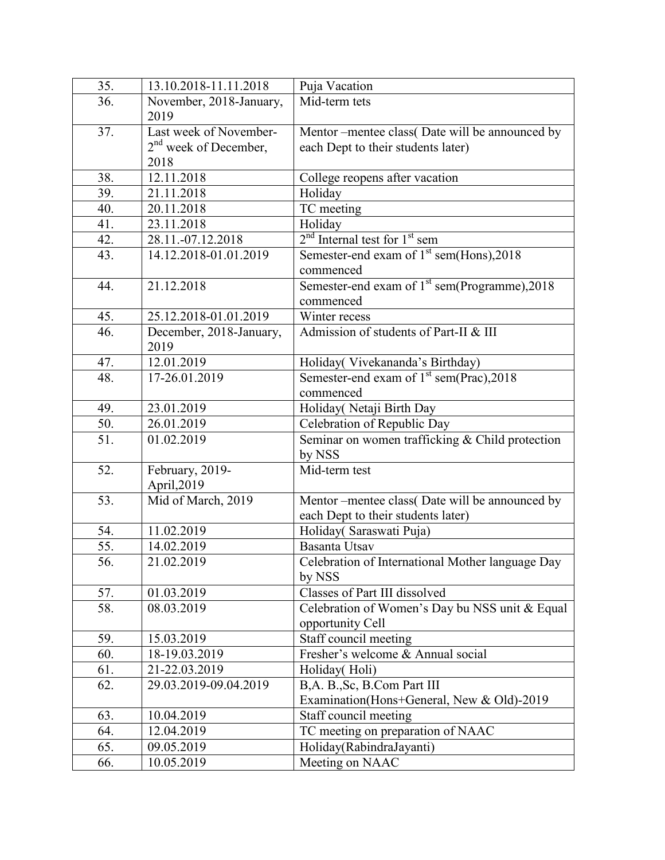| 35. | 13.10.2018-11.11.2018   | Puja Vacation                                             |
|-----|-------------------------|-----------------------------------------------------------|
| 36. | November, 2018-January, | Mid-term tets                                             |
|     | 2019                    |                                                           |
| 37. | Last week of November-  | Mentor --mentee class(Date will be announced by           |
|     | $2nd$ week of December, | each Dept to their students later)                        |
|     | 2018                    |                                                           |
| 38. | 12.11.2018              | College reopens after vacation                            |
| 39. | 21.11.2018              | Holiday                                                   |
| 40. | 20.11.2018              | TC meeting                                                |
| 41. | 23.11.2018              | Holiday                                                   |
| 42. | 28.11.-07.12.2018       | $2nd$ Internal test for $1st$ sem                         |
| 43. | 14.12.2018-01.01.2019   | Semester-end exam of 1 <sup>st</sup> sem(Hons), 2018      |
|     |                         | commenced                                                 |
| 44. | 21.12.2018              | Semester-end exam of 1 <sup>st</sup> sem(Programme), 2018 |
|     |                         | commenced                                                 |
| 45. | 25.12.2018-01.01.2019   | Winter recess                                             |
| 46. | December, 2018-January, | Admission of students of Part-II & III                    |
|     | 2019                    |                                                           |
| 47. | 12.01.2019              | Holiday(Vivekananda's Birthday)                           |
| 48. | 17-26.01.2019           | Semester-end exam of 1 <sup>st</sup> sem(Prac), 2018      |
|     |                         | commenced                                                 |
| 49. | 23.01.2019              | Holiday(Netaji Birth Day                                  |
| 50. | 26.01.2019              | Celebration of Republic Day                               |
| 51. | 01.02.2019              | Seminar on women trafficking & Child protection           |
|     |                         | by NSS                                                    |
| 52. | February, 2019-         | Mid-term test                                             |
|     | April, 2019             |                                                           |
| 53. | Mid of March, 2019      | Mentor-mentee class(Date will be announced by             |
|     |                         | each Dept to their students later)                        |
| 54. | 11.02.2019              | Holiday( Saraswati Puja)                                  |
| 55. | 14.02.2019              | <b>Basanta Utsav</b>                                      |
| 56. | 21.02.2019              | Celebration of International Mother language Day          |
|     |                         | by NSS                                                    |
| 57. | 01.03.2019              | Classes of Part III dissolved                             |
| 58. | 08.03.2019              | Celebration of Women's Day bu NSS unit & Equal            |
|     |                         | opportunity Cell                                          |
| 59. | 15.03.2019              | Staff council meeting                                     |
| 60. | 18-19.03.2019           | Fresher's welcome & Annual social                         |
| 61. | 21-22.03.2019           | Holiday(Holi)                                             |
| 62. | 29.03.2019-09.04.2019   | B,A. B., Sc, B.Com Part III                               |
|     |                         | Examination(Hons+General, New & Old)-2019                 |
| 63. | 10.04.2019              | Staff council meeting                                     |
| 64. | 12.04.2019              | TC meeting on preparation of NAAC                         |
| 65. | 09.05.2019              | Holiday(RabindraJayanti)                                  |
| 66. | 10.05.2019              | Meeting on NAAC                                           |